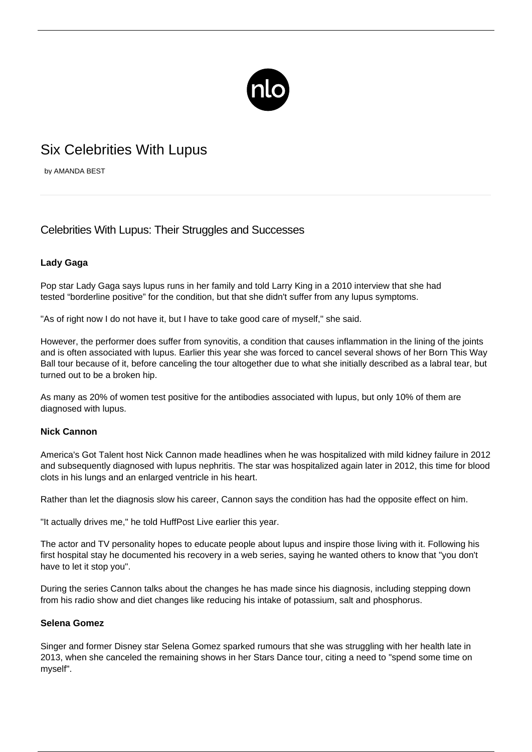

# Six Celebrities With Lupus

by AMANDA BEST

# Celebrities With Lupus: Their Struggles and Successes

# **Lady Gaga**

Pop star Lady Gaga says lupus runs in her family and told Larry King in a 2010 interview that she had tested "borderline positive" for the condition, but that she didn't suffer from any lupus symptoms.

"As of right now I do not have it, but I have to take good care of myself," she said.

However, the performer does suffer from synovitis, a condition that causes inflammation in the lining of the joints and is often associated with lupus. Earlier this year she was forced to cancel several shows of her Born This Way Ball tour because of it, before canceling the tour altogether due to what she initially described as a labral tear, but turned out to be a broken hip.

As many as 20% of women test positive for the antibodies associated with lupus, but only 10% of them are diagnosed with lupus.

## **Nick Cannon**

America's Got Talent host Nick Cannon made headlines when he was hospitalized with mild kidney failure in 2012 and subsequently diagnosed with lupus nephritis. The star was hospitalized again later in 2012, this time for blood clots in his lungs and an enlarged ventricle in his heart.

Rather than let the diagnosis slow his career, Cannon says the condition has had the opposite effect on him.

"It actually drives me," he told HuffPost Live earlier this year.

The actor and TV personality hopes to educate people about lupus and inspire those living with it. Following his first hospital stay he documented his recovery in a web series, saying he wanted others to know that "you don't have to let it stop you".

During the series Cannon talks about the changes he has made since his diagnosis, including stepping down from his radio show and diet changes like reducing his intake of potassium, salt and phosphorus.

### **Selena Gomez**

Singer and former Disney star Selena Gomez sparked rumours that she was struggling with her health late in 2013, when she canceled the remaining shows in her Stars Dance tour, citing a need to "spend some time on myself".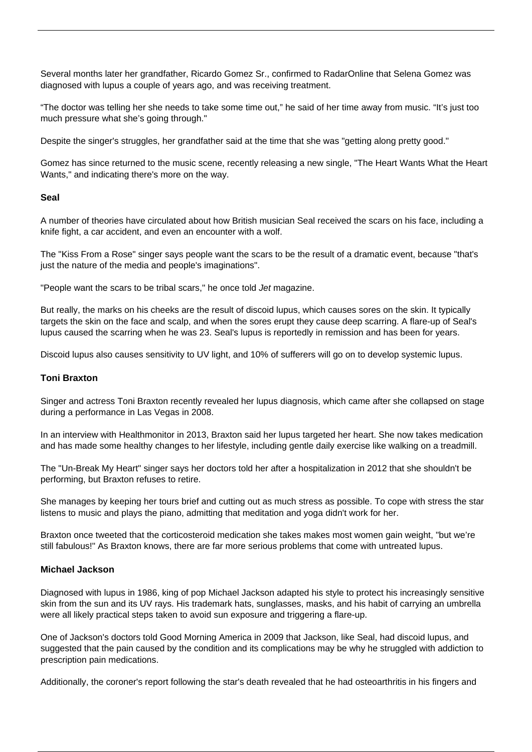Several months later her grandfather, Ricardo Gomez Sr., confirmed to RadarOnline that [Selena Gomez was](/selena-gomez-lupus/) [diagnosed with lupus](/selena-gomez-lupus/) a couple of years ago, and was receiving treatment.

"The doctor was telling her she needs to take some time out," he said of her time away from music. "It's just too much pressure what she's going through."

Despite the singer's struggles, her grandfather said at the time that she was "getting along pretty good."

Gomez has since returned to the music scene, recently releasing a new single, "The Heart Wants What the Heart Wants," and indicating there's more on the way.

#### **Seal**

A number of theories have circulated about how British musician Seal received the scars on his face, including a knife fight, a car accident, and even an encounter with a wolf.

The "Kiss From a Rose" singer says people want the scars to be the result of a dramatic event, because "that's just the nature of the media and people's imaginations".

"People want the scars to be tribal scars," he once told Jet magazine.

But really, the marks on his cheeks are the result of discoid lupus, which causes sores on the skin. It typically targets the skin on the face and scalp, and when the sores erupt they cause deep scarring. A flare-up of Seal's lupus caused the scarring when he was 23. Seal's lupus is reportedly in remission and has been for years.

Discoid lupus also causes sensitivity to UV light, and 10% of sufferers will go on to develop systemic lupus.

#### **Toni Braxton**

Singer and actress Toni Braxton recently revealed her lupus diagnosis, which came after she collapsed on stage during a performance in Las Vegas in 2008.

In an interview with Healthmonitor in 2013, Braxton said her lupus targeted her heart. She now takes medication and has made some healthy changes to her lifestyle, including gentle daily exercise like walking on a treadmill.

The "Un-Break My Heart" singer says her doctors told her after a hospitalization in 2012 that she shouldn't be performing, but Braxton refuses to retire.

She manages by keeping her tours brief and cutting out as much stress as possible. To cope with stress the star listens to music and plays the piano, admitting that meditation and yoga didn't work for her.

Braxton once tweeted that the corticosteroid medication she takes makes most women gain weight, "but we're still fabulous!" As Braxton knows, there are far more serious problems that come with untreated lupus.

#### **Michael Jackson**

Diagnosed with lupus in 1986, king of pop Michael Jackson adapted his style to protect his increasingly sensitive skin from the sun and its UV rays. His trademark hats, sunglasses, masks, and his habit of carrying an umbrella were all likely practical steps taken to avoid sun exposure and triggering a flare-up.

One of Jackson's doctors told Good Morning America in 2009 that Jackson, like Seal, had discoid lupus, and suggested that the pain caused by the condition and its complications may be why he struggled with addiction to prescription pain medications.

Additionally, the coroner's report following the star's death revealed that he had osteoarthritis in his fingers and